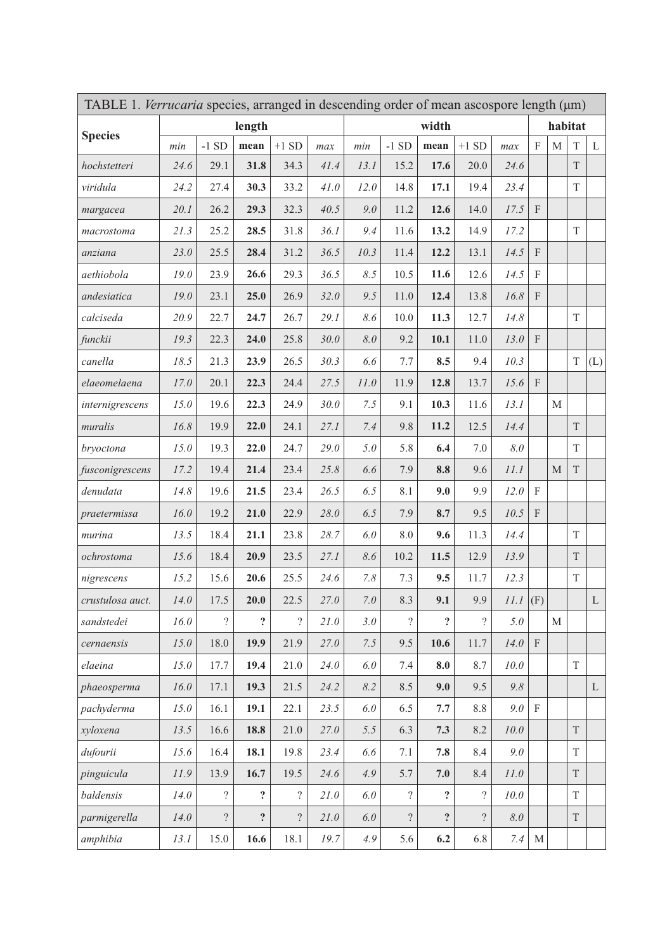| TABLE 1. Verrucaria species, arranged in descending order of mean ascospore length (µm) |        |                          |                  |                |      |         |                          |                         |                |                    |              |              |              |     |  |
|-----------------------------------------------------------------------------------------|--------|--------------------------|------------------|----------------|------|---------|--------------------------|-------------------------|----------------|--------------------|--------------|--------------|--------------|-----|--|
| <b>Species</b>                                                                          | length |                          |                  |                |      | width   |                          |                         |                |                    |              | habitat      |              |     |  |
|                                                                                         | min    | $-1$ SD                  | mean             | $+1$ SD        | max  | min     | $-1$ SD                  | mean                    | $+1$ SD        | max                | F            | М            | T            | L   |  |
| hochstetteri                                                                            | 24.6   | 29.1                     | 31.8             | 34.3           | 41.4 | 13.1    | 15.2                     | 17.6                    | 20.0           | 24.6               |              |              | T            |     |  |
| viridula                                                                                | 24.2   | 27.4                     | 30.3             | 33.2           | 41.0 | 12.0    | 14.8                     | 17.1                    | 19.4           | 23.4               |              |              | T            |     |  |
| margacea                                                                                | 20.1   | 26.2                     | 29.3             | 32.3           | 40.5 | 9.0     | 11.2                     | 12.6                    | 14.0           | 17.5               | $\mathbf{F}$ |              |              |     |  |
| macrostoma                                                                              | 21.3   | 25.2                     | 28.5             | 31.8           | 36.1 | 9.4     | 11.6                     | 13.2                    | 14.9           | 17.2               |              |              | T            |     |  |
| anziana                                                                                 | 23.0   | 25.5                     | 28.4             | 31.2           | 36.5 | 10.3    | 11.4                     | 12.2                    | 13.1           | 14.5               | $\mathbf{F}$ |              |              |     |  |
| aethiobola                                                                              | 19.0   | 23.9                     | 26.6             | 29.3           | 36.5 | 8.5     | 10.5                     | 11.6                    | 12.6           | 14.5               | F            |              |              |     |  |
| andesiatica                                                                             | 19.0   | 23.1                     | 25.0             | 26.9           | 32.0 | 9.5     | 11.0                     | 12.4                    | 13.8           | 16.8               | F            |              |              |     |  |
| calciseda                                                                               | 20.9   | 22.7                     | 24.7             | 26.7           | 29.1 | 8.6     | 10.0                     | 11.3                    | 12.7           | 14.8               |              |              | T            |     |  |
| funckii                                                                                 | 19.3   | 22.3                     | 24.0             | 25.8           | 30.0 | 8.0     | 9.2                      | 10.1                    | 11.0           | 13.0               | F            |              |              |     |  |
| canella                                                                                 | 18.5   | 21.3                     | 23.9             | 26.5           | 30.3 | 6.6     | 7.7                      | 8.5                     | 9.4            | 10.3               |              |              | T            | (L) |  |
| elaeomelaena                                                                            | 17.0   | 20.1                     | 22.3             | 24.4           | 27.5 | 11.0    | 11.9                     | 12.8                    | 13.7           | 15.6               | F            |              |              |     |  |
| internigrescens                                                                         | 15.0   | 19.6                     | 22.3             | 24.9           | 30.0 | 7.5     | 9.1                      | 10.3                    | 11.6           | 13.1               |              | М            |              |     |  |
| muralis                                                                                 | 16.8   | 19.9                     | 22.0             | 24.1           | 27.1 | 7.4     | 9.8                      | 11.2                    | 12.5           | 14.4               |              |              | T            |     |  |
| bryoctona                                                                               | 15.0   | 19.3                     | 22.0             | 24.7           | 29.0 | 5.0     | 5.8                      | 6.4                     | 7.0            | 8.0                |              |              | T            |     |  |
| fusconigrescens                                                                         | 17.2   | 19.4                     | 21.4             | 23.4           | 25.8 | 6.6     | 7.9                      | 8.8                     | 9.6            | 11.1               |              | $\mathbf{M}$ | $\mathcal T$ |     |  |
| denudata                                                                                | 14.8   | 19.6                     | 21.5             | 23.4           | 26.5 | 6.5     | 8.1                      | 9.0                     | 9.9            | 12.0               | F            |              |              |     |  |
| praetermissa                                                                            | 16.0   | 19.2                     | 21.0             | 22.9           | 28.0 | 6.5     | 7.9                      | 8.7                     | 9.5            | 10.5               | $\mathbf F$  |              |              |     |  |
| murina                                                                                  | 13.5   | 18.4                     | 21.1             | 23.8           | 28.7 | 6.0     | 8.0                      | 9.6                     | 11.3           | 14.4               |              |              | T            |     |  |
| ochrostoma                                                                              | 15.6   | 18.4                     | 20.9             | 23.5           | 27.1 | 8.6     | 10.2                     | 11.5                    | 12.9           | 13.9               |              |              | T            |     |  |
| nigrescens                                                                              | 15.2   | 15.6                     | 20.6             | 25.5           | 24.6 | 7.8     | 7.3                      | 9.5                     | 11.7           | 12.3               |              |              | T            |     |  |
| crustulosa auct.                                                                        | 14.0   | 17.5                     | 20.0             | 22.5           | 27.0 | 7.0     | 8.3                      | 9.1                     | 9.9            | $\it 11.1$         | (F)          |              |              | L   |  |
| sandstedei                                                                              | 16.0   | $\overline{\phantom{a}}$ | ?                | $\overline{?}$ | 21.0 | 3.0     | $\gamma$                 | $\overline{\mathbf{r}}$ | 9              | 5.0                |              | М            |              |     |  |
| cernaensis                                                                              | 15.0   | 18.0                     | 19.9             | 21.9           | 27.0 | 7.5     | 9.5                      | 10.6                    | 11.7           | 14.0               | $\mathbf F$  |              |              |     |  |
| elaeina                                                                                 | 15.0   | 17.7                     | 19.4             | 21.0           | 24.0 | $6.0$   | 7.4                      | 8.0                     | 8.7            | 10.0               |              |              | T            |     |  |
| phaeosperma                                                                             | 16.0   | 17.1                     | 19.3             | 21.5           | 24.2 | 8.2     | 8.5                      | 9.0                     | 9.5            | 9.8                |              |              |              | L   |  |
| pachyderma                                                                              | 15.0   | 16.1                     | 19.1             | 22.1           | 23.5 | $6.0\,$ | 6.5                      | $7.7\,$                 | $8.8\,$        | $9.0$ F            |              |              |              |     |  |
| xyloxena                                                                                | 13.5   | 16.6                     | 18.8             | 21.0           | 27.0 | 5.5     | 6.3                      | 7.3                     | 8.2            | 10.0               |              |              | T            |     |  |
| dufourii                                                                                | 15.6   | 16.4                     | 18.1             | 19.8           | 23.4 | 6.6     | 7.1                      | 7.8                     | 8.4            | 9.0                |              |              | T            |     |  |
| pinguicula                                                                              | 11.9   | 13.9                     | 16.7             | 19.5           | 24.6 | 4.9     | 5.7                      | 7.0                     | 8.4            | 11.0               |              |              | T            |     |  |
| baldensis                                                                               | 14.0   | $\overline{\mathcal{E}}$ | $\boldsymbol{?}$ | $\overline{?}$ | 21.0 | 6.0     | $\overline{\mathcal{E}}$ | $\ddot{\textbf{c}}$     | $\overline{?}$ | 10.0               |              |              | T            |     |  |
| parmigerella                                                                            | 14.0   | $\overline{?}$           | $\ddot{\cdot}$   | $\overline{?}$ | 21.0 | 6.0     | $\ddot{?}$               | ?                       | $\overline{?}$ | $\boldsymbol{8.0}$ |              |              | $\mathbf T$  |     |  |
| amphibia                                                                                | 13.1   | 15.0                     | 16.6             | 18.1           | 19.7 | 4.9     | 5.6                      | 6.2                     | 6.8            | 7.4                | $\mathbf M$  |              |              |     |  |